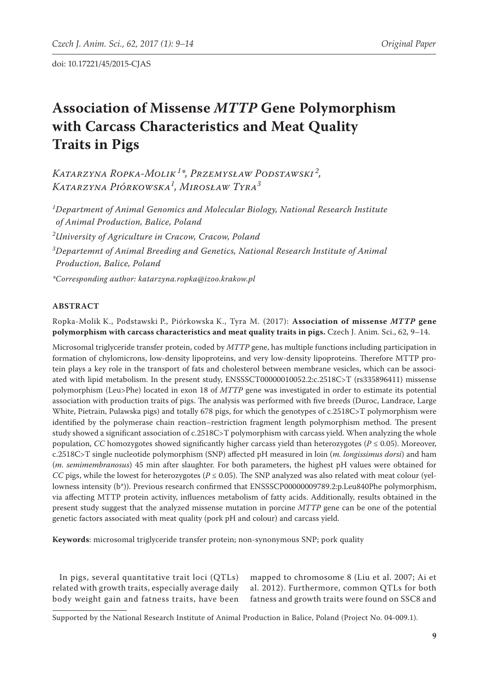# **Association of Missense** *MTTP* **Gene Polymorphism with Carcass Characteristics and Meat Quality Traits in Pigs**

*Katarzyna Ropka-Molik <sup>1</sup> \*, Przemysław Podstawski <sup>2</sup> , Katarzyna Piórkowska<sup>1</sup> , Mirosław Tyra<sup>3</sup>*

*1 Department of Animal Genomics and Molecular Biology, National Research Institute of Animal Production, Balice, Poland 2 University of Agriculture in Cracow, Cracow, Poland 3 Departemnt of Animal Breeding and Genetics, National Research Institute of Animal Production, Balice, Poland*

*\*Corresponding author: katarzyna.ropka@izoo.krakow.pl*

# **ABSTRACT**

Ropka-Molik K., Podstawski P., Piórkowska K., Tyra M. (2017): **Association of missense** *MTTP* **gene polymorphism with carcass characteristics and meat quality traits in pigs.** Czech J. Anim. Sci., 62, 9–14.

Microsomal triglyceride transfer protein, coded by *MTTP* gene, has multiple functions including participation in formation of chylomicrons, low-density lipoproteins, and very low-density lipoproteins. Therefore MTTP protein plays a key role in the transport of fats and cholesterol between membrane vesicles, which can be associated with lipid metabolism. In the present study, ENSSSCT00000010052.2:c.2518C>T (rs335896411) missense polymorphism (Leu>Phe) located in exon 18 of *MTTP* gene was investigated in order to estimate its potential association with production traits of pigs. The analysis was performed with five breeds (Duroc, Landrace, Large White, Pietrain, Pulawska pigs) and totally 678 pigs, for which the genotypes of c.2518C>T polymorphism were identified by the polymerase chain reaction–restriction fragment length polymorphism method. The present study showed a significant association of c.2518C>T polymorphism with carcass yield. When analyzing the whole population, *CC* homozygotes showed significantly higher carcass yield than heterozygotes (*P* ≤ 0.05). Moreover, c.2518C>T single nucleotide polymorphism (SNP) affected pH measured in loin (*m. longissimus dorsi*) and ham (*m. semimembranosus*) 45 min after slaughter. For both parameters, the highest pH values were obtained for *CC* pigs, while the lowest for heterozygotes ( $P \le 0.05$ ). The SNP analyzed was also related with meat colour (yellowness intensity (b\*)). Previous research confirmed that ENSSSCP00000009789.2:p.Leu840Phe polymorphism, via affecting MTTP protein activity, influences metabolism of fatty acids. Additionally, results obtained in the present study suggest that the analyzed missense mutation in porcine *MTTP* gene can be one of the potential genetic factors associated with meat quality (pork pH and colour) and carcass yield.

**Keywords**: microsomal triglyceride transfer protein; non-synonymous SNP; pork quality

In pigs, several quantitative trait loci (QTLs) related with growth traits, especially average daily body weight gain and fatness traits, have been mapped to chromosome 8 (Liu et al. 2007; Ai et al. 2012). Furthermore, common QTLs for both fatness and growth traits were found on SSC8 and

Supported by the National Research Institute of Animal Production in Balice, Poland (Project No. 04-009.1).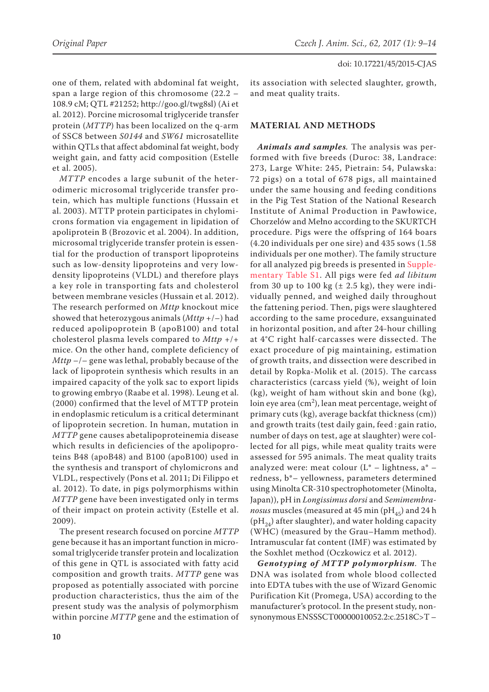one of them, related with abdominal fat weight, span a large region of this chromosome (22.2 – 108.9 cM; QTL #21252; [http://goo.gl/twg8sl\)](http://goo.gl/twg8sl) (Ai et al. 2012). Porcine microsomal triglyceride transfer protein (*MTTP*) has been localized on the q-arm of SSC8 between *S0144* and *SW61* microsatellite within QTLs that affect abdominal fat weight, body weight gain, and fatty acid composition (Estelle et al. 2005).

*MTTP* encodes a large subunit of the heterodimeric microsomal triglyceride transfer protein, which has multiple functions (Hussain et al. 2003). MTTP protein participates in chylomicrons formation via engagement in lipidation of apoliprotein B (Brozovic et al. 2004). In addition, microsomal triglyceride transfer protein is essential for the production of transport lipoproteins such as low-density lipoproteins and very lowdensity lipoproteins (VLDL) and therefore plays a key role in transporting fats and cholesterol between membrane vesicles (Hussain et al. 2012). The research performed on *Mttp* knockout mice showed that heterozygous animals (*Mttp* +/–) had reduced apolipoprotein B (apoB100) and total cholesterol plasma levels compared to *Mttp* +/+ mice. On the other hand, complete deficiency of *Mttp* –/– gene was lethal, probably because of the lack of lipoprotein synthesis which results in an impaired capacity of the yolk sac to export lipids to growing embryo (Raabe et al. 1998). Leung et al. (2000) confirmed that the level of MTTP protein in endoplasmic reticulum is a critical determinant of lipoprotein secretion. In human, mutation in *MTTP* gene causes abetalipoproteinemia disease which results in deficiencies of the apolipoproteins B48 (apoB48) and B100 (apoB100) used in the synthesis and transport of chylomicrons and VLDL, respectively (Pons et al. 2011; Di Filippo et al. 2012). To date, in pigs polymorphisms within *MTTP* gene have been investigated only in terms of their impact on protein activity (Estelle et al. 2009).

The present research focused on porcine *MTTP* gene because it has an important function in microsomal triglyceride transfer protein and localization of this gene in QTL is associated with fatty acid composition and growth traits. *MTTP* gene was proposed as potentially associated with porcine production characteristics, thus the aim of the present study was the analysis of polymorphism within porcine *MTTP* gene and the estimation of

its association with selected slaughter, growth, and meat quality traits.

## **MATERIAL AND METHODS**

*Animals and samples.* The analysis was performed with five breeds (Duroc: 38, Landrace: 273, Large White: 245, Pietrain: 54, Pulawska: 72 pigs) on a total of 678 pigs, all maintained under the same housing and feeding conditions in the Pig Test Station of the National Research Institute of Animal Production in Pawłowice, Chorzelów and Mełno according to the SKURTCH procedure. Pigs were the offspring of 164 boars (4.20 individuals per one sire) and 435 sows (1.58 individuals per one mother). The family structure [for all analyzed pig breeds is presented in Supple](http://www.agriculturejournals.cz/publicFiles/204406.pdf)mentary Table S1. All pigs were fed *ad libitum* from 30 up to 100 kg  $(\pm 2.5 \text{ kg})$ , they were individually penned, and weighed daily throughout the fattening period. Then, pigs were slaughtered according to the same procedure, exsanguinated in horizontal position, and after 24-hour chilling at 4°C right half-carcasses were dissected. The exact procedure of pig maintaining, estimation of growth traits, and dissection were described in detail by Ropka-Molik et al. (2015). The carcass characteristics (carcass yield (%), weight of loin (kg), weight of ham without skin and bone (kg), loin eye area (cm<sup>2</sup>), lean meat percentage, weight of primary cuts (kg), average backfat thickness (cm)) and growth traits (test daily gain, feed : gain ratio, number of days on test, age at slaughter) were collected for all pigs, while meat quality traits were assessed for 595 animals. The meat quality traits analyzed were: meat colour  $(L^* - \text{lightness}, a^*$ redness, b\*– yellowness, parameters determined using Minolta CR-310 spectrophotometer (Minolta, Japan)), pH in *Longissimus dorsi* and *Semimembranosus* muscles (measured at 45 min (p $H_{45}$ ) and 24 h  $(pH_{24})$  after slaughter), and water holding capacity (WHC) (measured by the Grau–Hamm method). Intramuscular fat content (IMF) was estimated by the Soxhlet method (Oczkowicz et al. 2012).

*Genotyping of MTTP polymorphism.* The DNA was isolated from whole blood collected into EDTA tubes with the use of Wizard Genomic Purification Kit (Promega, USA) according to the manufacturer's protocol. In the present study, nonsynonymous ENSSSCT00000010052.2:c.2518C>T –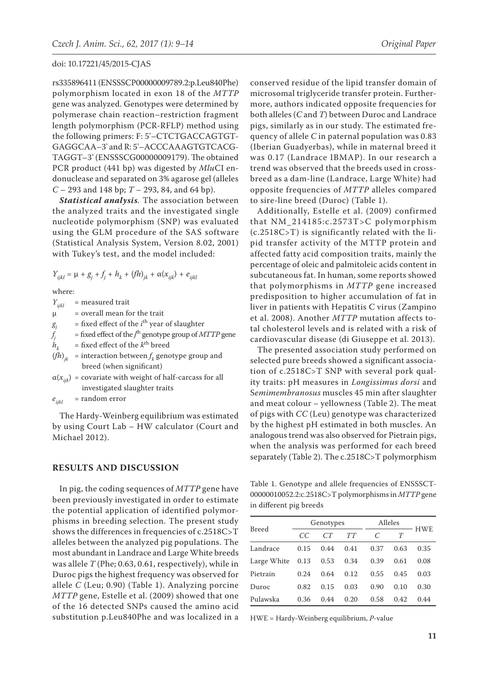rs335896411 (ENSSSCP00000009789.2:p.Leu840Phe) polymorphism located in exon 18 of the *MTTP* gene was analyzed. Genotypes were determined by polymerase chain reaction–restriction fragment length polymorphism (PCR-RFLP) method using the following primers: F: 5'–CTCTGACCAGTGT-GAGGCAA–3' and R: 5'–ACCCAAAGTGTCACG-TAGGT–3' (ENSSSCG00000009179). The obtained PCR product (441 bp) was digested by *Mlu*CI endonuclease and separated on 3% agarose gel (alleles *C* – 293 and 148 bp; *T* – 293, 84, and 64 bp).

*Statistical analysis.* The association between the analyzed traits and the investigated single nucleotide polymorphism (SNP) was evaluated using the GLM procedure of the SAS software (Statistical Analysis System, Version 8.02, 2001) with Tukey's test, and the model included:

$$
Y_{ijkl} = \mu + g_j + f_j + h_k + (fh)_{jk} + \alpha(x_{ijk}) + e_{ijkl}
$$

where:

| $Y_{ijkl}$                 | $=$ measured trait                                                |
|----------------------------|-------------------------------------------------------------------|
| μ                          | $=$ overall mean for the trait                                    |
| $g_i$                      | = fixed effect of the $i^{\text{th}}$ year of slaughter           |
| $f_{\scriptscriptstyle j}$ | = fixed effect of the $i^{\text{th}}$ genotype group of MTTP gene |
| $h_{\nu}$                  | = fixed effect of the $k^{\text{th}}$ breed                       |
| $(fh)_{ik}$                | = interaction between $f_k$ genotype group and                    |
|                            | breed (when significant)                                          |
|                            | $\alpha(x_{ijk})$ = covariate with weight of half-carcass for all |
|                            |                                                                   |

investigated slaughter traits

 $e_{ijkl}$  = random error

The Hardy-Weinberg equilibrium was estimated by using Court Lab – HW calculator (Court and Michael 2012).

#### **RESULTS AND DISCUSSION**

In pig, the coding sequences of *MTTP* gene have been previously investigated in order to estimate the potential application of identified polymorphisms in breeding selection. The present study shows the differences in frequencies of c.2518C>T alleles between the analyzed pig populations. The most abundant in Landrace and Large White breeds was allele *T* (Phe; 0.63, 0.61, respectively), while in Duroc pigs the highest frequency was observed for allele *C* (Leu; 0.90) (Table 1). Analyzing porcine *MTTP* gene, Estelle et al. (2009) showed that one of the 16 detected SNPs caused the amino acid substitution p.Leu840Phe and was localized in a conserved residue of the lipid transfer domain of microsomal triglyceride transfer protein. Furthermore, authors indicated opposite frequencies for both alleles (*C* and *T*) between Duroc and Landrace pigs, similarly as in our study. The estimated frequency of allele *C* in paternal population was 0.83 (Iberian Guadyerbas), while in maternal breed it was 0.17 (Landrace IBMAP). In our research a trend was observed that the breeds used in crossbreed as a dam-line (Landrace, Large White) had opposite frequencies of *MTTP* alleles compared to sire-line breed (Duroc) (Table 1).

Additionally, Estelle et al. (2009) confirmed that NM\_214185:c.2573T>C polymorphism (c.2518C>T) is significantly related with the lipid transfer activity of the MTTP protein and affected fatty acid composition traits, mainly the percentage of oleic and palmitoleic acids content in subcutaneous fat. In human, some reports showed that polymorphisms in *MTTP* gene increased predisposition to higher accumulation of fat in liver in patients with Hepatitis C virus (Zampino et al. 2008). Another *MTTP* mutation affects total cholesterol levels and is related with a risk of cardiovascular disease (di Giuseppe et al. 2013).

The presented association study performed on selected pure breeds showed a significant association of c.2518C>T SNP with several pork quality traits: pH measures in *Longissimus dorsi* and S*emimembranosus* muscles 45 min after slaughter and meat colour – yellowness (Table 2). The meat of pigs with *CC* (Leu) genotype was characterized by the highest pH estimated in both muscles. An analogous trend was also observed for Pietrain pigs, when the analysis was performed for each breed separately (Table 2). The c.2518C>T polymorphism

Table 1. Genotype and allele frequencies of ENSSSCT-00000010052.2:c.2518C>T polymorphisms in *MTTP* gene in different pig breeds

|                    | Genotypes |      |      | Alleles       |      |            |
|--------------------|-----------|------|------|---------------|------|------------|
| <b>Breed</b>       | CC        | CT   | TT   | $\mathcal{C}$ | Т    | <b>HWE</b> |
| Landrace           | 0.15      | 0.44 | 0.41 | 0.37          | 0.63 | 0.35       |
| Large White $0.13$ |           | 0.53 | 0.34 | 0.39          | 0.61 | 0.08       |
| Pietrain           | 0.24      | 0.64 | 0.12 | 0.55          | 0.45 | 0.03       |
| Duroc              | 0.82      | 0.15 | 0.03 | 0.90          | 0.10 | 0.30       |
| Pulawska           | 0.36      | 0.44 | 0.20 | 0.58          | 0.42 | 0.44       |

HWE = Hardy-Weinberg equilibrium, *P*-value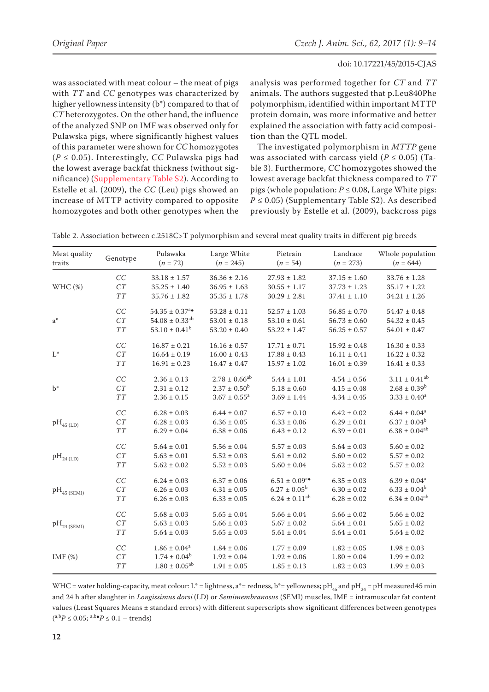was associated with meat colour – the meat of pigs with *TT* and *CC* genotypes was characterized by higher yellowness intensity (b\*) compared to that of *CT* heterozygotes. On the other hand, the influence of the analyzed SNP on IMF was observed only for Pulawska pigs, where significantly highest values of this parameter were shown for *CC* homozygotes  $(P \le 0.05)$ . Interestingly, *CC* Pulawska pigs had the lowest average backfat thickness (without significance) ([Supplementary Table S2\)](http://www.agriculturejournals.cz/publicFiles/204406.pdf). According to Estelle et al. (2009), the *CC* (Leu) pigs showed an increase of MTTP activity compared to opposite homozygotes and both other genotypes when the analysis was performed together for *CT* and *TT* animals. The authors suggested that p.Leu840Phe polymorphism, identified within important MTTP protein domain, was more informative and better explained the association with fatty acid composition than the QTL model.

The investigated polymorphism in *MTTP* gene was associated with carcass yield ( $P \le 0.05$ ) (Table 3). Furthermore, *CC* homozygotes showed the lowest average backfat thickness compared to *TT* pigs (whole population:  $P \le 0.08$ , Large White pigs: *P* ≤ 0.05) (Supplementary Table S2). As described previously by Estelle et al. (2009), backcross pigs

| Table 2. Association between c.2518C>T polymorphism and several meat quality traits in different pig breeds |  |  |
|-------------------------------------------------------------------------------------------------------------|--|--|
|-------------------------------------------------------------------------------------------------------------|--|--|

| Meat quality<br>traits     | Genotype           | Pulawska<br>$(n = 72)$         | Large White<br>$(n = 245)$ | Pietrain<br>$(n = 54)$  | Landrace<br>$(n = 273)$ | Whole population<br>$(n = 644)$ |
|----------------------------|--------------------|--------------------------------|----------------------------|-------------------------|-------------------------|---------------------------------|
| WHC(%)                     | CC                 | $33.18 \pm 1.57$               | $36.36 \pm 2.16$           | $27.93 \pm 1.82$        | $37.15 \pm 1.60$        | $33.76 \pm 1.28$                |
|                            | ${\cal C}{\cal T}$ | $35.25 \pm 1.40$               | $36.95 \pm 1.63$           | $30.55 \pm 1.17$        | $37.73 \pm 1.23$        | $35.17 \pm 1.22$                |
|                            | $\cal T\cal T$     | $35.76 \pm 1.82$               | $35.35 \pm 1.78$           | $30.29 \pm 2.81$        | $37.41 \pm 1.10$        | $34.21 \pm 1.26$                |
| $a^*$                      | CC                 | $54.35 \pm 0.37$ <sup>a</sup>  | $53.28 \pm 0.11$           | $52.57 \pm 1.03$        | $56.85 \pm 0.70$        | $54.47 \pm 0.48$                |
|                            | ${\cal C}{\cal T}$ | $54.08 \pm 0.33$ <sup>ab</sup> | $53.01 \pm 0.18$           | $53.10 \pm 0.61$        | $56.73 \pm 0.60$        | $54.32 \pm 0.45$                |
|                            | $\cal T\cal T$     | $53.10 \pm 0.41^b$             | $53.20 \pm 0.40$           | $53.22 \pm 1.47$        | $56.25 \pm 0.57$        | $54.01 \pm 0.47$                |
|                            | CC                 | $16.87 \pm 0.21$               | $16.16 \pm 0.57$           | $17.71 \pm 0.71$        | $15.92 \pm 0.48$        | $16.30 \pm 0.33$                |
| $L^*$                      | CT                 | $16.64 \pm 0.19$               | $16.00 \pm 0.43$           | $17.88 \pm 0.43$        | $16.11 \pm 0.41$        | $16.22 \pm 0.32$                |
|                            | $\cal T\cal T$     | $16.91 \pm 0.23$               | $16.47 \pm 0.47$           | $15.97 \pm 1.02$        | $16.01 \pm 0.39$        | $16.41 \pm 0.33$                |
|                            | CC                 | $2.36 \pm 0.13$                | $2.78 \pm 0.66^{ab}$       | $5.44 \pm 1.01$         | $4.54 \pm 0.56$         | $3.11 \pm 0.41$ <sup>ab</sup>   |
| $b^*$                      | ${\cal C}{\cal T}$ | $2.31 \pm 0.12$                | $2.37 \pm 0.50^{\rm b}$    | $5.18 \pm 0.60$         | $4.15 \pm 0.48$         | $2.68 \pm 0.39^b$               |
|                            | <b>TT</b>          | $2.36 \pm 0.15$                | $3.67\pm0.55^{\rm a}$      | $3.69 \pm 1.44$         | $4.34 \pm 0.45$         | $3.33 \pm 0.40^a$               |
|                            | CC                 | $6.28 \pm 0.03$                | $6.44 \pm 0.07$            | $6.57 \pm 0.10$         | $6.42 \pm 0.02$         | $6.44 \pm 0.04^a$               |
| $\rm{pH}_{45\,\rm{(LD)}}$  | ${\cal C}{\cal T}$ | $6.28 \pm 0.03$                | $6.36 \pm 0.05$            | $6.33 \pm 0.06$         | $6.29 \pm 0.01$         | $6.37 \pm 0.04^b$               |
|                            | $\cal T\cal T$     | $6.29 \pm 0.04$                | $6.38 \pm 0.06$            | $6.43 \pm 0.12$         | $6.39 \pm 0.01$         | $6.38 \pm 0.04^{ab}$            |
|                            | CC                 | $5.64 \pm 0.01$                | $5.56 \pm 0.04$            | $5.57 \pm 0.03$         | $5.64 \pm 0.03$         | $5.60 \pm 0.02$                 |
| $\rm{pH}_{24\,\rm{(LD)}}$  | ${\cal C}{\cal T}$ | $5.63 \pm 0.01$                | $5.52 \pm 0.03$            | $5.61 \pm 0.02$         | $5.60 \pm 0.02$         | $5.57 \pm 0.02$                 |
|                            | $\cal T\cal T$     | $5.62 \pm 0.02$                | $5.52 \pm 0.03$            | $5.60 \pm 0.04$         | $5.62 \pm 0.02$         | $5.57 \pm 0.02$                 |
| $pH_{45(SEMI)}$            | CC                 | $6.24 \pm 0.03$                | $6.37 \pm 0.06$            | $6.51 \pm 0.09^{a}$     | $6.35 \pm 0.03$         | $6.39\pm0.04^{\rm a}$           |
|                            | ${\cal C}{\cal T}$ | $6.26 \pm 0.03$                | $6.31 \pm 0.05$            | $6.27 \pm 0.05^{\rm b}$ | $6.30 \pm 0.02$         | $6.33 \pm 0.04^b$               |
|                            | <b>TT</b>          | $6.26 \pm 0.03$                | $6.33 \pm 0.05$            | $6.24 \pm 0.11^{ab}$    | $6.28 \pm 0.02$         | $6.34 \pm 0.04^{ab}$            |
| $\rm{pH}_{24\,\rm{(SEM)}}$ | CC                 | $5.68 \pm 0.03$                | $5.65 \pm 0.04$            | $5.66 \pm 0.04$         | $5.66 \pm 0.02$         | $5.66 \pm 0.02$                 |
|                            | ${\cal C}{\cal T}$ | $5.63 \pm 0.03$                | $5.66 \pm 0.03$            | $5.67 \pm 0.02$         | $5.64 \pm 0.01$         | $5.65 \pm 0.02$                 |
|                            | $\cal T\cal T$     | $5.64 \pm 0.03$                | $5.65 \pm 0.03$            | $5.61 \pm 0.04$         | $5.64 \pm 0.01$         | $5.64 \pm 0.02$                 |
| IMF $(\%)$                 | CC                 | $1.86 \pm 0.04^a$              | $1.84 \pm 0.06$            | $1.77 \pm 0.09$         | $1.82 \pm 0.05$         | $1.98 \pm 0.03$                 |
|                            | CT                 | $1.74 \pm 0.04^b$              | $1.92 \pm 0.04$            | $1.92 \pm 0.06$         | $1.80 \pm 0.04$         | $1.99 \pm 0.02$                 |
|                            | <b>TT</b>          | $1.80 \pm 0.05^{ab}$           | $1.91 \pm 0.05$            | $1.85 \pm 0.13$         | $1.82 \pm 0.03$         | $1.99 \pm 0.03$                 |

WHC = water holding-capacity, meat colour: L<sup>\*</sup> = lightness, a<sup>\*</sup>= redness, b<sup>\*</sup>= yellowness; pH<sub>45</sub> and pH<sub>24</sub> = pH measured 45 min and 24 h after slaughter in *Longissimus dorsi* (LD) or *Semimembranosus* (SEMI) muscles, IMF = intramuscular fat content values (Least Squares Means ± standard errors) with different superscripts show significant differences between genotypes  $($ <sup>a,b</sup>*P* ≤ 0.05; <sup>a,b•</sup>*P* ≤ 0.1 – trends)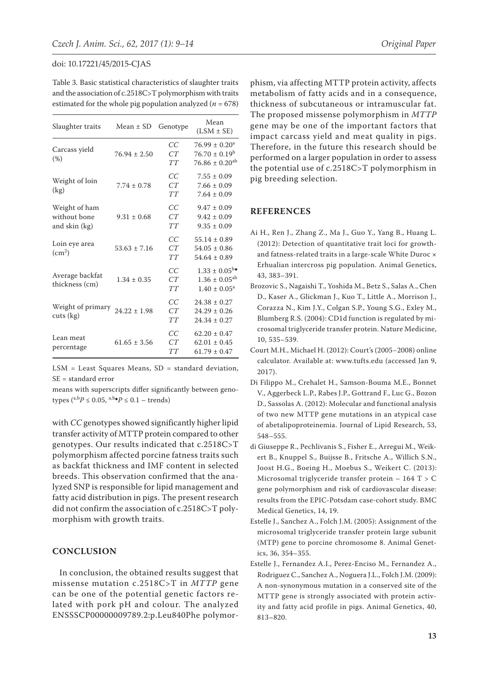Table 3. Basic statistical characteristics of slaughter traits and the association of c.2518C>T polymorphism with traits estimated for the whole pig population analyzed ( $n = 678$ )

| Slaughter traits                                | $Mean \pm SD$    | Genotype       | Mean<br>$(LSM \pm SE)$                                                     |
|-------------------------------------------------|------------------|----------------|----------------------------------------------------------------------------|
| Carcass yield<br>$(\%)$                         | $76.94 \pm 2.50$ | CC<br>CT<br>TT | $76.99 \pm 0.20^a$<br>$76.70 \pm 0.19^b$<br>$76.86 \pm 0.20$ <sup>ab</sup> |
| Weight of loin<br>(kg)                          | $7.74 \pm 0.78$  | CC<br>CT<br>TT | $7.55 \pm 0.09$<br>$7.66 \pm 0.09$<br>$7.64 \pm 0.09$                      |
| Weight of ham<br>without bone<br>and skin (kg)  | $9.31 \pm 0.68$  | CC<br>CT<br>TT | $9.47 \pm 0.09$<br>$9.42 \pm 0.09$<br>$9.35 \pm 0.09$                      |
| Loin eye area<br>$\rm (cm^2)$                   | $53.63 \pm 7.16$ | CC<br>CT<br>TT | $55.14 \pm 0.89$<br>$54.05 \pm 0.86$<br>$54.64 \pm 0.89$                   |
| Average backfat<br>thickness (cm)               | $1.34 \pm 0.35$  | CC<br>CT<br>TT | $1.33 \pm 0.05^{b}$<br>$1.36 \pm 0.05^{ab}$<br>$1.40 \pm 0.05^{\circ}$     |
| Weight of primary $24.22 \pm 1.98$<br>cuts (kg) |                  | CC<br>CT<br>TT | $24.38 \pm 0.27$<br>$24.29 \pm 0.26$<br>$24.34 \pm 0.27$                   |
| Lean meat<br>percentage                         | $61.65 \pm 3.56$ | CC<br>CT<br>TT | $62.20 \pm 0.47$<br>$62.01 \pm 0.45$<br>$61.79 \pm 0.47$                   |

 $LSM = Least Squares Means, SD = standard deviation,$ SE = standard error

means with superscripts differ significantly between genotypes ( $a,bP$  ≤ 0.05,  $a,b$ **•** $P$  ≤ 0.1 – trends)

with *CC* genotypes showed significantly higher lipid transfer activity of MTTP protein compared to other genotypes. Our results indicated that c.2518C>T polymorphism affected porcine fatness traits such as backfat thickness and IMF content in selected breeds. This observation confirmed that the analyzed SNP is responsible for lipid management and fatty acid distribution in pigs. The present research did not confirm the association of c.2518C>T polymorphism with growth traits.

#### **CONCLUSION**

In conclusion, the obtained results suggest that missense mutation c.2518C>T in *MTTP* gene can be one of the potential genetic factors related with pork pH and colour. The analyzed ENSSSCP00000009789.2:p.Leu840Phe polymor-

phism, via affecting MTTP protein activity, affects metabolism of fatty acids and in a consequence, thickness of subcutaneous or intramuscular fat. The proposed missense polymorphism in *MTTP* gene may be one of the important factors that impact carcass yield and meat quality in pigs. Therefore, in the future this research should be performed on a larger population in order to assess the potential use of c.2518C>T polymorphism in pig breeding selection.

## **REFERENCES**

- Ai H., Ren J., Zhang Z., Ma J., Guo Y., Yang B., Huang L. (2012): Detection of quantitative trait loci for growthand fatness-related traits in a large-scale White Duroc × Erhualian intercross pig population. Animal Genetics, 43, 383–391.
- Brozovic S., Nagaishi T., Yoshida M., Betz S., Salas A., Chen D., Kaser A., Glickman J., Kuo T., Little A., Morrison J., Corazza N., Kim J.Y., Colgan S.P., Young S.G., Exley M., Blumberg R.S. (2004): CD1d function is regulated by microsomal triglyceride transfer protein. Nature Medicine, 10, 535–539.
- Court M.H., Michael H. (2012): Court's (2005−2008) online calculator. Available at: www.tufts.edu (accessed Jan 9, 2017).
- Di Filippo M., Crehalet H., Samson-Bouma M.E., Bonnet V., Aggerbeck L.P., Rabes J.P., Gottrand F., Luc G., Bozon D., Sassolas A. (2012): Molecular and functional analysis of two new MTTP gene mutations in an atypical case of abetalipoproteinemia. Journal of Lipid Research, 53, 548–555.
- di Giuseppe R., Pechlivanis S., Fisher E., Arregui M., Weikert B., Knuppel S., Buijsse B., Fritsche A., Willich S.N., Joost H.G., Boeing H., Moebus S., Weikert C. (2013): Microsomal triglyceride transfer protein – 164 T > C gene polymorphism and risk of cardiovascular disease: results from the EPIC-Potsdam case-cohort study. BMC Medical Genetics, 14, 19.
- Estelle J., Sanchez A., Folch J.M. (2005): Assignment of the microsomal triglyceride transfer protein large subunit (MTP) gene to porcine chromosome 8. Animal Genetics, 36, 354–355.
- Estelle J., Fernandez A.I., Perez-Enciso M., Fernandez A., Rodriguez C., Sanchez A., Noguera J.L., Folch J.M. (2009): A non-synonymous mutation in a conserved site of the MTTP gene is strongly associated with protein activity and fatty acid profile in pigs. Animal Genetics, 40, 813–820.